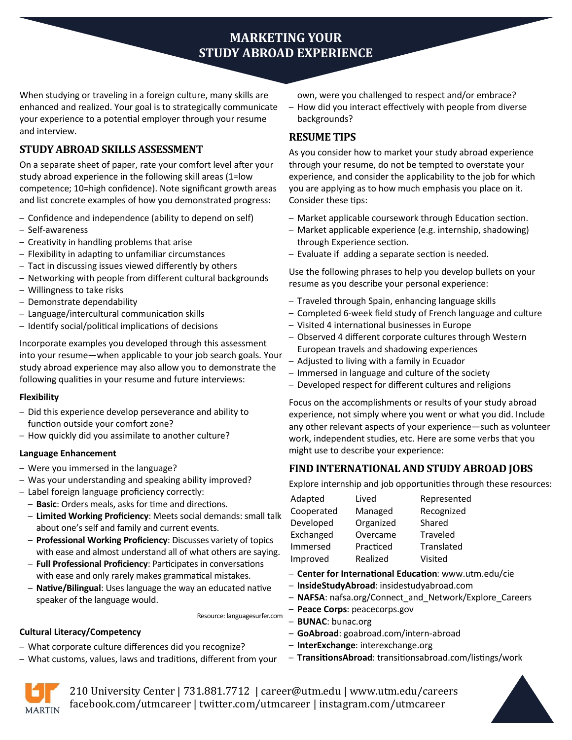# **MARKETING YOUR STUDY ABROAD EXPERIENCE**

When studying or traveling in a foreign culture, many skills are enhanced and realized. Your goal is to strategically communicate your experience to a potential employer through your resume and interview.

# **STUDY ABROAD SKILLS ASSESSMENT**

On a separate sheet of paper, rate your comfort level after your study abroad experience in the following skill areas (1=low competence; 10=high confidence). Note significant growth areas and list concrete examples of how you demonstrated progress:

- Confidence and independence (ability to depend on self)
- Self-awareness
- Creativity in handling problems that arise
- Flexibility in adapting to unfamiliar circumstances
- Tact in discussing issues viewed differently by others
- Networking with people from different cultural backgrounds
- Willingness to take risks
- Demonstrate dependability
- Language/intercultural communication skills
- Identify social/political implications of decisions

Incorporate examples you developed through this assessment into your resume—when applicable to your job search goals. Your study abroad experience may also allow you to demonstrate the following qualities in your resume and future interviews:

#### **Flexibility**

- Did this experience develop perseverance and ability to function outside your comfort zone?
- How quickly did you assimilate to another culture?

#### **Language Enhancement**

**Cultural Literacy/Competency**

- Were you immersed in the language?
- Was your understanding and speaking ability improved?
- Label foreign language proficiency correctly:
	- **Basic**: Orders meals, asks for time and directions.
	- **Limited Working Proficiency**: Meets social demands: small talk about one's self and family and current events.
	- **Professional Working Proficiency**: Discusses variety of topics with ease and almost understand all of what others are saying.
	- **Full Professional Proficiency**: Participates in conversations with ease and only rarely makes grammatical mistakes.
	- **Native/Bilingual**: Uses language the way an educated native speaker of the language would.

– What customs, values, laws and traditions, different from your

– What corporate culture differences did you recognize?

- own, were you challenged to respect and/or embrace?
- How did you interact effectively with people from diverse backgrounds?

### **RESUME TIPS**

As you consider how to market your study abroad experience through your resume, do not be tempted to overstate your experience, and consider the applicability to the job for which you are applying as to how much emphasis you place on it. Consider these tips:

- Market applicable coursework through Education section.
- Market applicable experience (e.g. internship, shadowing) through Experience section.
- Evaluate if adding a separate section is needed.

Use the following phrases to help you develop bullets on your resume as you describe your personal experience:

- Traveled through Spain, enhancing language skills
- Completed 6-week field study of French language and culture
- Visited 4 international businesses in Europe
- Observed 4 different corporate cultures through Western European travels and shadowing experiences
- Adjusted to living with a family in Ecuador
- Immersed in language and culture of the society
- Developed respect for different cultures and religions

Focus on the accomplishments or results of your study abroad experience, not simply where you went or what you did. Include any other relevant aspects of your experience—such as volunteer work, independent studies, etc. Here are some verbs that you might use to describe your experience:

## **FIND INTERNATIONAL AND STUDY ABROAD JOBS**

Explore internship and job opportunities through these resources:

| Adapted    | Lived     | Represented |
|------------|-----------|-------------|
| Cooperated | Managed   | Recognized  |
| Developed  | Organized | Shared      |
| Exchanged  | Overcame  | Traveled    |
| Immersed   | Practiced | Translated  |
| Improved   | Realized  | Visited     |

- **Center for International Education**: www.utm.edu/cie
- **InsideStudyAbroad**: insidestudyabroad.com
- **NAFSA**: nafsa.org/Connect\_and\_Network/Explore\_Careers
- **Peace Corps**: peacecorps.gov
- Resource: languagesurfer.com – **BUNAC**: bunac.org
	- **GoAbroad**: goabroad.com/intern-abroad
	- **InterExchange**: interexchange.org
	- **TransitionsAbroad**: transitionsabroad.com/listings/work



210 University Center | 731.881.7712 | career@utm.edu | www.utm.edu/careers facebook.com/utmcareer | twitter.com/utmcareer | instagram.com/utmcareer